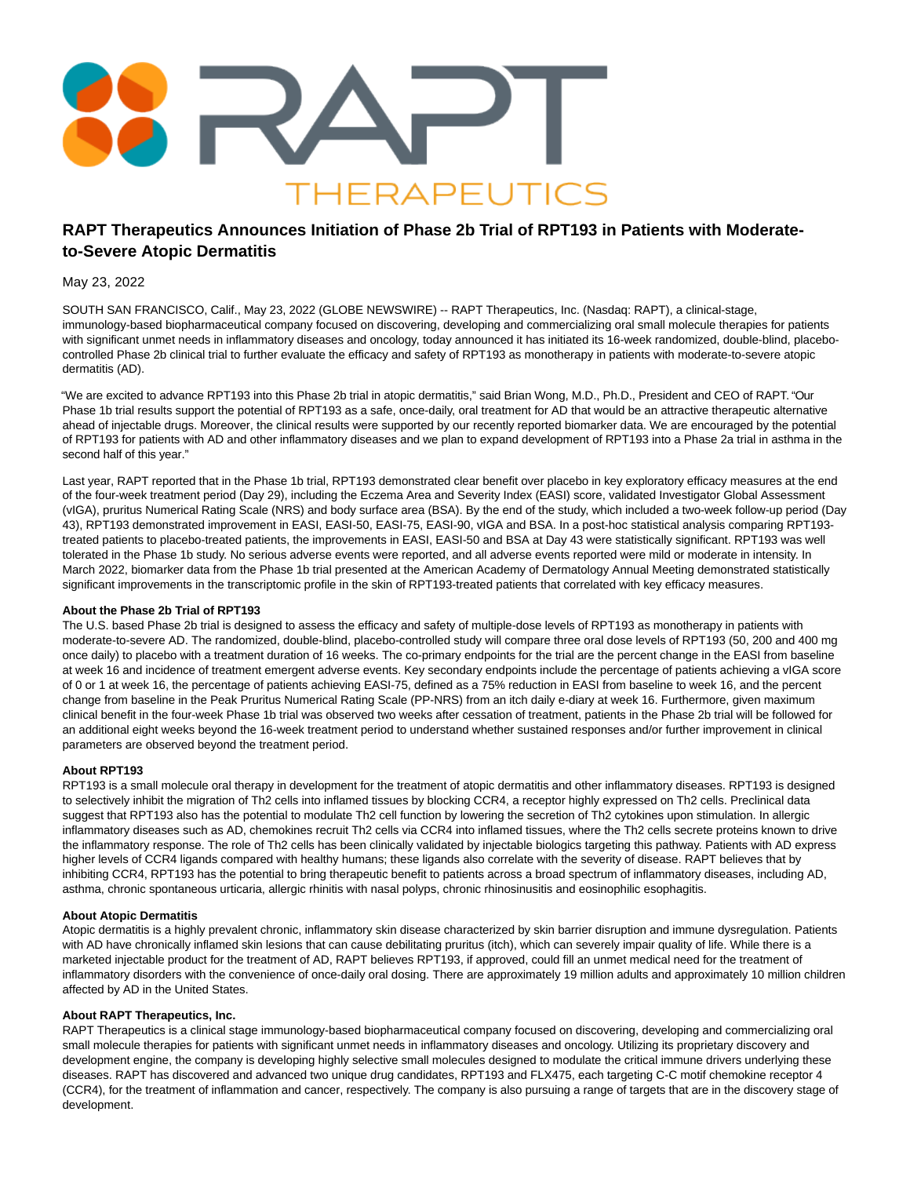

# **RAPT Therapeutics Announces Initiation of Phase 2b Trial of RPT193 in Patients with Moderateto-Severe Atopic Dermatitis**

# May 23, 2022

SOUTH SAN FRANCISCO, Calif., May 23, 2022 (GLOBE NEWSWIRE) -- RAPT Therapeutics, Inc. (Nasdaq: RAPT), a clinical-stage, immunology-based biopharmaceutical company focused on discovering, developing and commercializing oral small molecule therapies for patients with significant unmet needs in inflammatory diseases and oncology, today announced it has initiated its 16-week randomized, double-blind, placebocontrolled Phase 2b clinical trial to further evaluate the efficacy and safety of RPT193 as monotherapy in patients with moderate-to-severe atopic dermatitis (AD).

"We are excited to advance RPT193 into this Phase 2b trial in atopic dermatitis," said Brian Wong, M.D., Ph.D., President and CEO of RAPT. "Our Phase 1b trial results support the potential of RPT193 as a safe, once-daily, oral treatment for AD that would be an attractive therapeutic alternative ahead of injectable drugs. Moreover, the clinical results were supported by our recently reported biomarker data. We are encouraged by the potential of RPT193 for patients with AD and other inflammatory diseases and we plan to expand development of RPT193 into a Phase 2a trial in asthma in the second half of this year."

Last year, RAPT reported that in the Phase 1b trial, RPT193 demonstrated clear benefit over placebo in key exploratory efficacy measures at the end of the four-week treatment period (Day 29), including the Eczema Area and Severity Index (EASI) score, validated Investigator Global Assessment (vIGA), pruritus Numerical Rating Scale (NRS) and body surface area (BSA). By the end of the study, which included a two-week follow-up period (Day 43), RPT193 demonstrated improvement in EASI, EASI-50, EASI-75, EASI-90, vIGA and BSA. In a post-hoc statistical analysis comparing RPT193 treated patients to placebo-treated patients, the improvements in EASI, EASI-50 and BSA at Day 43 were statistically significant. RPT193 was well tolerated in the Phase 1b study. No serious adverse events were reported, and all adverse events reported were mild or moderate in intensity. In March 2022, biomarker data from the Phase 1b trial presented at the American Academy of Dermatology Annual Meeting demonstrated statistically significant improvements in the transcriptomic profile in the skin of RPT193-treated patients that correlated with key efficacy measures.

# **About the Phase 2b Trial of RPT193**

The U.S. based Phase 2b trial is designed to assess the efficacy and safety of multiple-dose levels of RPT193 as monotherapy in patients with moderate-to-severe AD. The randomized, double-blind, placebo-controlled study will compare three oral dose levels of RPT193 (50, 200 and 400 mg once daily) to placebo with a treatment duration of 16 weeks. The co-primary endpoints for the trial are the percent change in the EASI from baseline at week 16 and incidence of treatment emergent adverse events. Key secondary endpoints include the percentage of patients achieving a vIGA score of 0 or 1 at week 16, the percentage of patients achieving EASI-75, defined as a 75% reduction in EASI from baseline to week 16, and the percent change from baseline in the Peak Pruritus Numerical Rating Scale (PP-NRS) from an itch daily e-diary at week 16. Furthermore, given maximum clinical benefit in the four-week Phase 1b trial was observed two weeks after cessation of treatment, patients in the Phase 2b trial will be followed for an additional eight weeks beyond the 16-week treatment period to understand whether sustained responses and/or further improvement in clinical parameters are observed beyond the treatment period.

# **About RPT193**

RPT193 is a small molecule oral therapy in development for the treatment of atopic dermatitis and other inflammatory diseases. RPT193 is designed to selectively inhibit the migration of Th2 cells into inflamed tissues by blocking CCR4, a receptor highly expressed on Th2 cells. Preclinical data suggest that RPT193 also has the potential to modulate Th2 cell function by lowering the secretion of Th2 cytokines upon stimulation. In allergic inflammatory diseases such as AD, chemokines recruit Th2 cells via CCR4 into inflamed tissues, where the Th2 cells secrete proteins known to drive the inflammatory response. The role of Th2 cells has been clinically validated by injectable biologics targeting this pathway. Patients with AD express higher levels of CCR4 ligands compared with healthy humans; these ligands also correlate with the severity of disease. RAPT believes that by inhibiting CCR4, RPT193 has the potential to bring therapeutic benefit to patients across a broad spectrum of inflammatory diseases, including AD, asthma, chronic spontaneous urticaria, allergic rhinitis with nasal polyps, chronic rhinosinusitis and eosinophilic esophagitis.

# **About Atopic Dermatitis**

Atopic dermatitis is a highly prevalent chronic, inflammatory skin disease characterized by skin barrier disruption and immune dysregulation. Patients with AD have chronically inflamed skin lesions that can cause debilitating pruritus (itch), which can severely impair quality of life. While there is a marketed injectable product for the treatment of AD, RAPT believes RPT193, if approved, could fill an unmet medical need for the treatment of inflammatory disorders with the convenience of once-daily oral dosing. There are approximately 19 million adults and approximately 10 million children affected by AD in the United States.

# **About RAPT Therapeutics, Inc.**

RAPT Therapeutics is a clinical stage immunology-based biopharmaceutical company focused on discovering, developing and commercializing oral small molecule therapies for patients with significant unmet needs in inflammatory diseases and oncology. Utilizing its proprietary discovery and development engine, the company is developing highly selective small molecules designed to modulate the critical immune drivers underlying these diseases. RAPT has discovered and advanced two unique drug candidates, RPT193 and FLX475, each targeting C-C motif chemokine receptor 4 (CCR4), for the treatment of inflammation and cancer, respectively. The company is also pursuing a range of targets that are in the discovery stage of development.